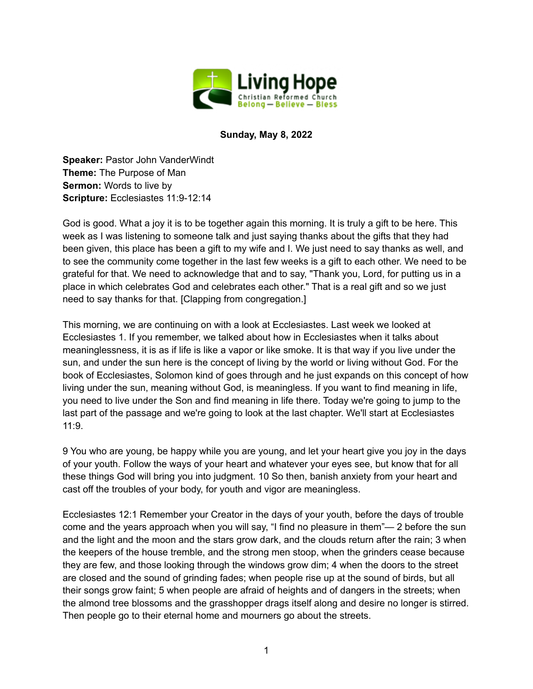

## **Sunday, May 8, 2022**

**Speaker:** Pastor John VanderWindt **Theme:** The Purpose of Man **Sermon:** Words to live by **Scripture:** Ecclesiastes 11:9-12:14

God is good. What a joy it is to be together again this morning. It is truly a gift to be here. This week as I was listening to someone talk and just saying thanks about the gifts that they had been given, this place has been a gift to my wife and I. We just need to say thanks as well, and to see the community come together in the last few weeks is a gift to each other. We need to be grateful for that. We need to acknowledge that and to say, "Thank you, Lord, for putting us in a place in which celebrates God and celebrates each other." That is a real gift and so we just need to say thanks for that. [Clapping from congregation.]

This morning, we are continuing on with a look at Ecclesiastes. Last week we looked at Ecclesiastes 1. If you remember, we talked about how in Ecclesiastes when it talks about meaninglessness, it is as if life is like a vapor or like smoke. It is that way if you live under the sun, and under the sun here is the concept of living by the world or living without God. For the book of Ecclesiastes, Solomon kind of goes through and he just expands on this concept of how living under the sun, meaning without God, is meaningless. If you want to find meaning in life, you need to live under the Son and find meaning in life there. Today we're going to jump to the last part of the passage and we're going to look at the last chapter. We'll start at Ecclesiastes 11:9.

9 You who are young, be happy while you are young, and let your heart give you joy in the days of your youth. Follow the ways of your heart and whatever your eyes see, but know that for all these things God will bring you into judgment. 10 So then, banish anxiety from your heart and cast off the troubles of your body, for youth and vigor are meaningless.

Ecclesiastes 12:1 Remember your Creator in the days of your youth, before the days of trouble come and the years approach when you will say, "I find no pleasure in them"— 2 before the sun and the light and the moon and the stars grow dark, and the clouds return after the rain; 3 when the keepers of the house tremble, and the strong men stoop, when the grinders cease because they are few, and those looking through the windows grow dim; 4 when the doors to the street are closed and the sound of grinding fades; when people rise up at the sound of birds, but all their songs grow faint; 5 when people are afraid of heights and of dangers in the streets; when the almond tree blossoms and the grasshopper drags itself along and desire no longer is stirred. Then people go to their eternal home and mourners go about the streets.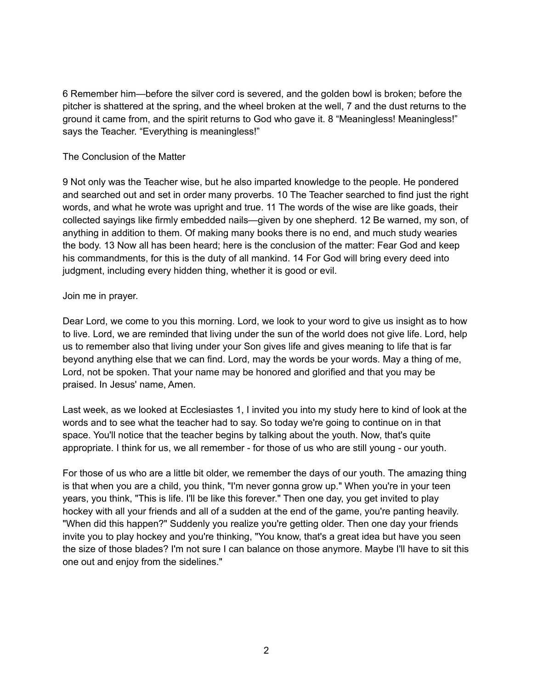6 Remember him—before the silver cord is severed, and the golden bowl is broken; before the pitcher is shattered at the spring, and the wheel broken at the well, 7 and the dust returns to the ground it came from, and the spirit returns to God who gave it. 8 "Meaningless! Meaningless!" says the Teacher. "Everything is meaningless!"

## The Conclusion of the Matter

9 Not only was the Teacher wise, but he also imparted knowledge to the people. He pondered and searched out and set in order many proverbs. 10 The Teacher searched to find just the right words, and what he wrote was upright and true. 11 The words of the wise are like goads, their collected sayings like firmly embedded nails—given by one shepherd. 12 Be warned, my son, of anything in addition to them. Of making many books there is no end, and much study wearies the body. 13 Now all has been heard; here is the conclusion of the matter: Fear God and keep his commandments, for this is the duty of all mankind. 14 For God will bring every deed into judgment, including every hidden thing, whether it is good or evil.

## Join me in prayer.

Dear Lord, we come to you this morning. Lord, we look to your word to give us insight as to how to live. Lord, we are reminded that living under the sun of the world does not give life. Lord, help us to remember also that living under your Son gives life and gives meaning to life that is far beyond anything else that we can find. Lord, may the words be your words. May a thing of me, Lord, not be spoken. That your name may be honored and glorified and that you may be praised. In Jesus' name, Amen.

Last week, as we looked at Ecclesiastes 1, I invited you into my study here to kind of look at the words and to see what the teacher had to say. So today we're going to continue on in that space. You'll notice that the teacher begins by talking about the youth. Now, that's quite appropriate. I think for us, we all remember - for those of us who are still young - our youth.

For those of us who are a little bit older, we remember the days of our youth. The amazing thing is that when you are a child, you think, "I'm never gonna grow up." When you're in your teen years, you think, "This is life. I'll be like this forever." Then one day, you get invited to play hockey with all your friends and all of a sudden at the end of the game, you're panting heavily. "When did this happen?" Suddenly you realize you're getting older. Then one day your friends invite you to play hockey and you're thinking, "You know, that's a great idea but have you seen the size of those blades? I'm not sure I can balance on those anymore. Maybe I'll have to sit this one out and enjoy from the sidelines."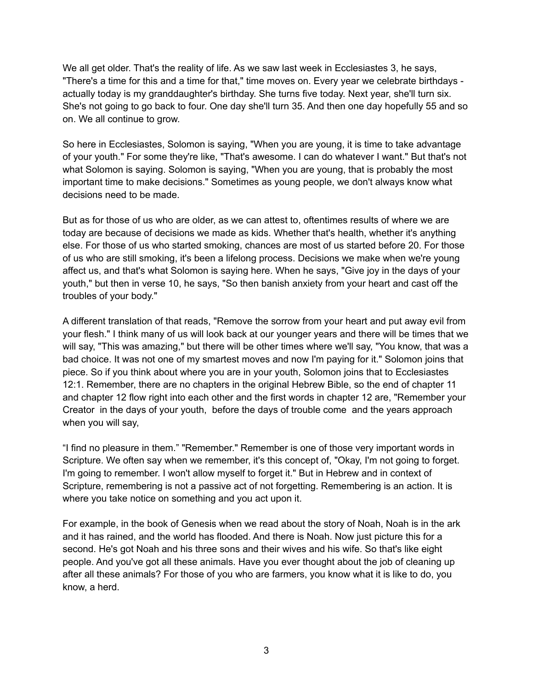We all get older. That's the reality of life. As we saw last week in Ecclesiastes 3, he says, "There's a time for this and a time for that," time moves on. Every year we celebrate birthdays actually today is my granddaughter's birthday. She turns five today. Next year, she'll turn six. She's not going to go back to four. One day she'll turn 35. And then one day hopefully 55 and so on. We all continue to grow.

So here in Ecclesiastes, Solomon is saying, "When you are young, it is time to take advantage of your youth." For some they're like, "That's awesome. I can do whatever I want." But that's not what Solomon is saying. Solomon is saying, "When you are young, that is probably the most important time to make decisions." Sometimes as young people, we don't always know what decisions need to be made.

But as for those of us who are older, as we can attest to, oftentimes results of where we are today are because of decisions we made as kids. Whether that's health, whether it's anything else. For those of us who started smoking, chances are most of us started before 20. For those of us who are still smoking, it's been a lifelong process. Decisions we make when we're young affect us, and that's what Solomon is saying here. When he says, "Give joy in the days of your youth," but then in verse 10, he says, "So then banish anxiety from your heart and cast off the troubles of your body."

A different translation of that reads, "Remove the sorrow from your heart and put away evil from your flesh." I think many of us will look back at our younger years and there will be times that we will say, "This was amazing," but there will be other times where we'll say, "You know, that was a bad choice. It was not one of my smartest moves and now I'm paying for it." Solomon joins that piece. So if you think about where you are in your youth, Solomon joins that to Ecclesiastes 12:1. Remember, there are no chapters in the original Hebrew Bible, so the end of chapter 11 and chapter 12 flow right into each other and the first words in chapter 12 are, "Remember your Creator in the days of your youth, before the days of trouble come and the years approach when you will say,

"I find no pleasure in them." "Remember." Remember is one of those very important words in Scripture. We often say when we remember, it's this concept of, "Okay, I'm not going to forget. I'm going to remember. I won't allow myself to forget it." But in Hebrew and in context of Scripture, remembering is not a passive act of not forgetting. Remembering is an action. It is where you take notice on something and you act upon it.

For example, in the book of Genesis when we read about the story of Noah, Noah is in the ark and it has rained, and the world has flooded. And there is Noah. Now just picture this for a second. He's got Noah and his three sons and their wives and his wife. So that's like eight people. And you've got all these animals. Have you ever thought about the job of cleaning up after all these animals? For those of you who are farmers, you know what it is like to do, you know, a herd.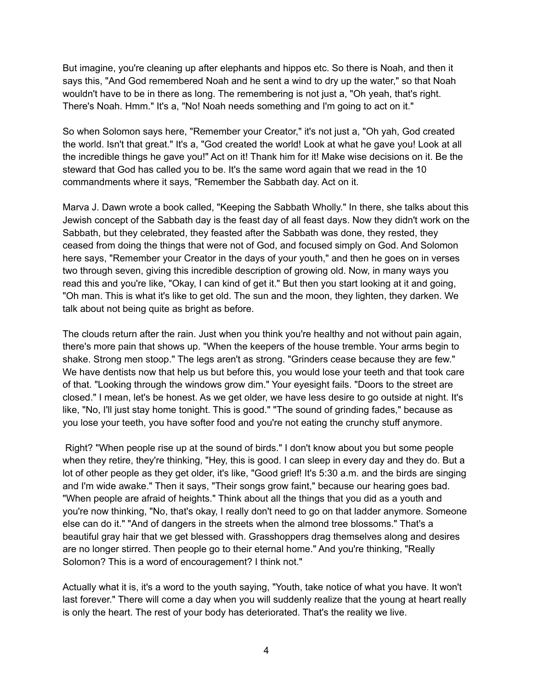But imagine, you're cleaning up after elephants and hippos etc. So there is Noah, and then it says this, "And God remembered Noah and he sent a wind to dry up the water," so that Noah wouldn't have to be in there as long. The remembering is not just a, "Oh yeah, that's right. There's Noah. Hmm." It's a, "No! Noah needs something and I'm going to act on it."

So when Solomon says here, "Remember your Creator," it's not just a, "Oh yah, God created the world. Isn't that great." It's a, "God created the world! Look at what he gave you! Look at all the incredible things he gave you!" Act on it! Thank him for it! Make wise decisions on it. Be the steward that God has called you to be. It's the same word again that we read in the 10 commandments where it says, "Remember the Sabbath day. Act on it.

Marva J. Dawn wrote a book called, "Keeping the Sabbath Wholly." In there, she talks about this Jewish concept of the Sabbath day is the feast day of all feast days. Now they didn't work on the Sabbath, but they celebrated, they feasted after the Sabbath was done, they rested, they ceased from doing the things that were not of God, and focused simply on God. And Solomon here says, "Remember your Creator in the days of your youth," and then he goes on in verses two through seven, giving this incredible description of growing old. Now, in many ways you read this and you're like, "Okay, I can kind of get it." But then you start looking at it and going, "Oh man. This is what it's like to get old. The sun and the moon, they lighten, they darken. We talk about not being quite as bright as before.

The clouds return after the rain. Just when you think you're healthy and not without pain again, there's more pain that shows up. "When the keepers of the house tremble. Your arms begin to shake. Strong men stoop." The legs aren't as strong. "Grinders cease because they are few." We have dentists now that help us but before this, you would lose your teeth and that took care of that. "Looking through the windows grow dim." Your eyesight fails. "Doors to the street are closed." I mean, let's be honest. As we get older, we have less desire to go outside at night. It's like, "No, I'll just stay home tonight. This is good." "The sound of grinding fades," because as you lose your teeth, you have softer food and you're not eating the crunchy stuff anymore.

Right? "When people rise up at the sound of birds." I don't know about you but some people when they retire, they're thinking, "Hey, this is good. I can sleep in every day and they do. But a lot of other people as they get older, it's like, "Good grief! It's 5:30 a.m. and the birds are singing and I'm wide awake." Then it says, "Their songs grow faint," because our hearing goes bad. "When people are afraid of heights." Think about all the things that you did as a youth and you're now thinking, "No, that's okay, I really don't need to go on that ladder anymore. Someone else can do it." "And of dangers in the streets when the almond tree blossoms." That's a beautiful gray hair that we get blessed with. Grasshoppers drag themselves along and desires are no longer stirred. Then people go to their eternal home." And you're thinking, "Really Solomon? This is a word of encouragement? I think not."

Actually what it is, it's a word to the youth saying, "Youth, take notice of what you have. It won't last forever." There will come a day when you will suddenly realize that the young at heart really is only the heart. The rest of your body has deteriorated. That's the reality we live.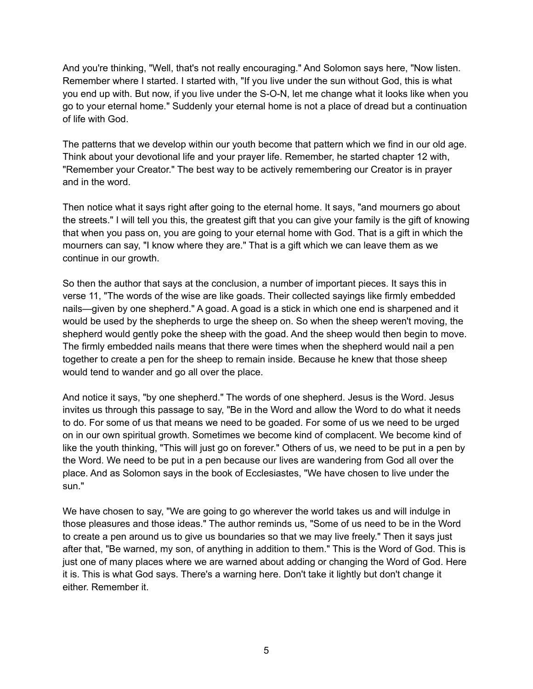And you're thinking, "Well, that's not really encouraging." And Solomon says here, "Now listen. Remember where I started. I started with, "If you live under the sun without God, this is what you end up with. But now, if you live under the S-O-N, let me change what it looks like when you go to your eternal home." Suddenly your eternal home is not a place of dread but a continuation of life with God.

The patterns that we develop within our youth become that pattern which we find in our old age. Think about your devotional life and your prayer life. Remember, he started chapter 12 with, "Remember your Creator." The best way to be actively remembering our Creator is in prayer and in the word.

Then notice what it says right after going to the eternal home. It says, "and mourners go about the streets." I will tell you this, the greatest gift that you can give your family is the gift of knowing that when you pass on, you are going to your eternal home with God. That is a gift in which the mourners can say, "I know where they are." That is a gift which we can leave them as we continue in our growth.

So then the author that says at the conclusion, a number of important pieces. It says this in verse 11, "The words of the wise are like goads. Their collected sayings like firmly embedded nails—given by one shepherd." A goad. A goad is a stick in which one end is sharpened and it would be used by the shepherds to urge the sheep on. So when the sheep weren't moving, the shepherd would gently poke the sheep with the goad. And the sheep would then begin to move. The firmly embedded nails means that there were times when the shepherd would nail a pen together to create a pen for the sheep to remain inside. Because he knew that those sheep would tend to wander and go all over the place.

And notice it says, "by one shepherd." The words of one shepherd. Jesus is the Word. Jesus invites us through this passage to say, "Be in the Word and allow the Word to do what it needs to do. For some of us that means we need to be goaded. For some of us we need to be urged on in our own spiritual growth. Sometimes we become kind of complacent. We become kind of like the youth thinking, "This will just go on forever." Others of us, we need to be put in a pen by the Word. We need to be put in a pen because our lives are wandering from God all over the place. And as Solomon says in the book of Ecclesiastes, "We have chosen to live under the sun."

We have chosen to say, "We are going to go wherever the world takes us and will indulge in those pleasures and those ideas." The author reminds us, "Some of us need to be in the Word to create a pen around us to give us boundaries so that we may live freely." Then it says just after that, "Be warned, my son, of anything in addition to them." This is the Word of God. This is just one of many places where we are warned about adding or changing the Word of God. Here it is. This is what God says. There's a warning here. Don't take it lightly but don't change it either. Remember it.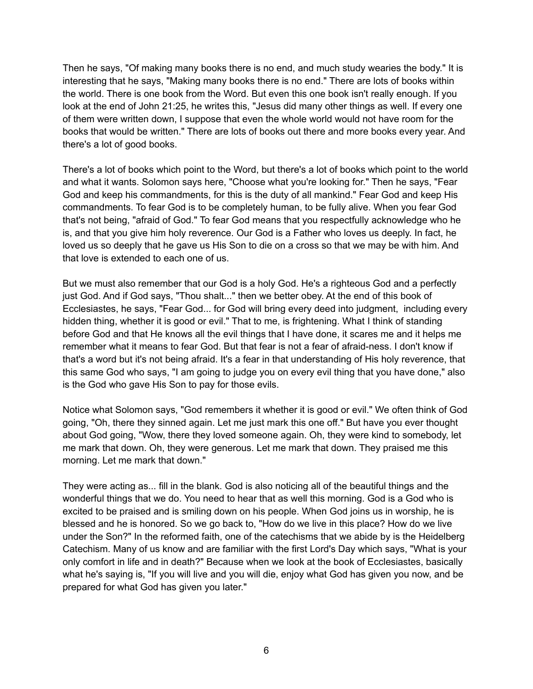Then he says, "Of making many books there is no end, and much study wearies the body." It is interesting that he says, "Making many books there is no end." There are lots of books within the world. There is one book from the Word. But even this one book isn't really enough. If you look at the end of John 21:25, he writes this, "Jesus did many other things as well. If every one of them were written down, I suppose that even the whole world would not have room for the books that would be written." There are lots of books out there and more books every year. And there's a lot of good books.

There's a lot of books which point to the Word, but there's a lot of books which point to the world and what it wants. Solomon says here, "Choose what you're looking for." Then he says, "Fear God and keep his commandments, for this is the duty of all mankind." Fear God and keep His commandments. To fear God is to be completely human, to be fully alive. When you fear God that's not being, "afraid of God." To fear God means that you respectfully acknowledge who he is, and that you give him holy reverence. Our God is a Father who loves us deeply. In fact, he loved us so deeply that he gave us His Son to die on a cross so that we may be with him. And that love is extended to each one of us.

But we must also remember that our God is a holy God. He's a righteous God and a perfectly just God. And if God says, "Thou shalt..." then we better obey. At the end of this book of Ecclesiastes, he says, "Fear God... for God will bring every deed into judgment, including every hidden thing, whether it is good or evil." That to me, is frightening. What I think of standing before God and that He knows all the evil things that I have done, it scares me and it helps me remember what it means to fear God. But that fear is not a fear of afraid-ness. I don't know if that's a word but it's not being afraid. It's a fear in that understanding of His holy reverence, that this same God who says, "I am going to judge you on every evil thing that you have done," also is the God who gave His Son to pay for those evils.

Notice what Solomon says, "God remembers it whether it is good or evil." We often think of God going, "Oh, there they sinned again. Let me just mark this one off." But have you ever thought about God going, "Wow, there they loved someone again. Oh, they were kind to somebody, let me mark that down. Oh, they were generous. Let me mark that down. They praised me this morning. Let me mark that down."

They were acting as... fill in the blank. God is also noticing all of the beautiful things and the wonderful things that we do. You need to hear that as well this morning. God is a God who is excited to be praised and is smiling down on his people. When God joins us in worship, he is blessed and he is honored. So we go back to, "How do we live in this place? How do we live under the Son?" In the reformed faith, one of the catechisms that we abide by is the Heidelberg Catechism. Many of us know and are familiar with the first Lord's Day which says, "What is your only comfort in life and in death?" Because when we look at the book of Ecclesiastes, basically what he's saying is, "If you will live and you will die, enjoy what God has given you now, and be prepared for what God has given you later."